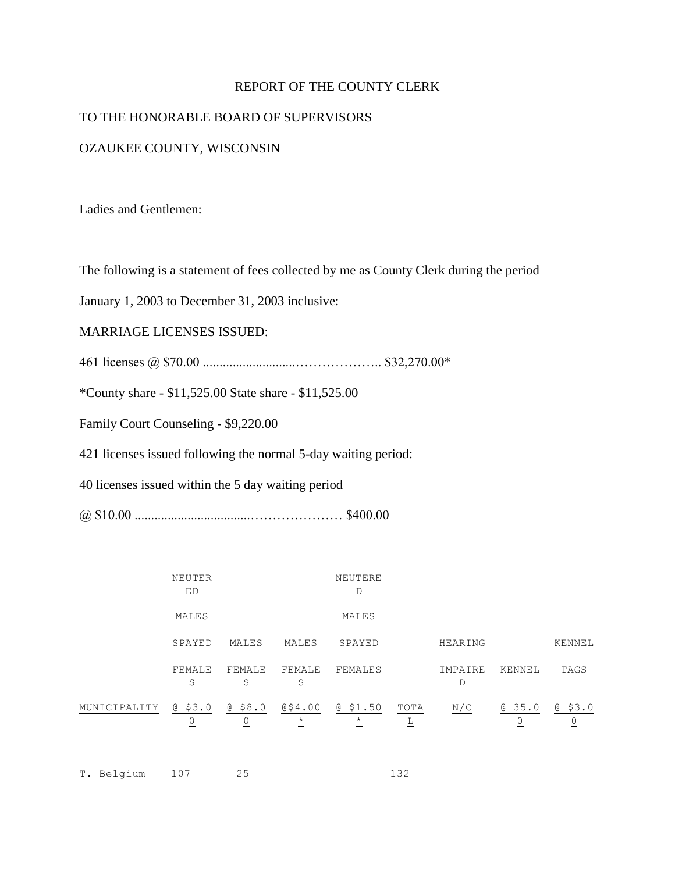## REPORT OF THE COUNTY CLERK

### TO THE HONORABLE BOARD OF SUPERVISORS

### OZAUKEE COUNTY, WISCONSIN

Ladies and Gentlemen:

The following is a statement of fees collected by me as County Clerk during the period

January 1, 2003 to December 31, 2003 inclusive:

#### MARRIAGE LICENSES ISSUED:

461 licenses @ \$70.00 ............................……………….. \$32,270.00\*

\*County share - \$11,525.00 State share - \$11,525.00

Family Court Counseling - \$9,220.00

421 licenses issued following the normal 5-day waiting period:

40 licenses issued within the 5 day waiting period

@ \$10.00 ...................................………………… \$400.00

T. Belgium 107 25 132

|              | NEUTER<br>ED |                |                      | NEUTERE<br>$\mathbb D$ |           |              |             |              |
|--------------|--------------|----------------|----------------------|------------------------|-----------|--------------|-------------|--------------|
|              | MALES        |                |                      | MALES                  |           |              |             |              |
|              | SPAYED       | MALES          | MALES                | SPAYED                 |           | HEARING      |             | KENNEL       |
|              | FEMALE<br>S  | FEMALE<br>S    | FEMALE<br>S          | FEMALES                |           | IMPAIRE<br>D | KENNEL      | TAGS         |
| MUNICIPALITY | 0, 53.0<br>0 | $@$ \$8.0<br>0 | 054.00<br>$^{\star}$ | @\$1.50<br>$\star$     | TOTA<br>L | N/C          | 0.35.0<br>0 | 0, 53.0<br>0 |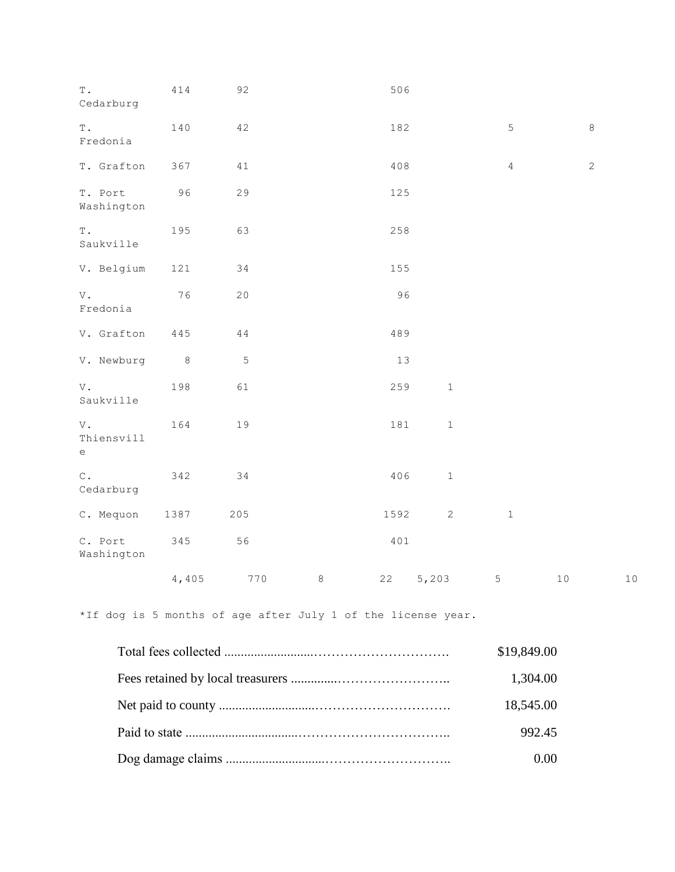| $\mathbb T$ .<br>Cedarburg                                                                                                                    | 414            | 92          |         | 506  |              |                |            |    |
|-----------------------------------------------------------------------------------------------------------------------------------------------|----------------|-------------|---------|------|--------------|----------------|------------|----|
| $\mathbb T$ .<br>Fredonia                                                                                                                     | 140            | 42          |         | 182  |              | 5              | $\,8\,$    |    |
| T. Grafton                                                                                                                                    | 367            | 41          |         | 408  |              | $\overline{4}$ | $\sqrt{2}$ |    |
| T. Port<br>Washington                                                                                                                         | 96             | 29          |         | 125  |              |                |            |    |
| $\mathbb T$ .<br>Saukville                                                                                                                    | 195            | 63          |         | 258  |              |                |            |    |
| V. Belgium                                                                                                                                    | 121            | 34          |         | 155  |              |                |            |    |
| V.<br>Fredonia                                                                                                                                | 76             | 20          |         | 96   |              |                |            |    |
| V. Grafton                                                                                                                                    | 445            | $4\,4$      |         | 489  |              |                |            |    |
| V. Newburg                                                                                                                                    | 8 <sup>8</sup> | $\mathsf S$ |         | 13   |              |                |            |    |
| V.<br>Saukville                                                                                                                               | 198            | 61          |         | 259  | $\,1\,$      |                |            |    |
| V.<br>Thiensvill<br>$\mathsf{e}% _{0}\!\left( \mathcal{A}_{0}\right) ^{T}\!\left( \mathcal{A}_{0}\right) ^{T}\!\left( \mathcal{A}_{0}\right)$ | 164            | 19          |         | 181  | $1\,$        |                |            |    |
| $\mathtt{C}$ .<br>Cedarburg                                                                                                                   | 342            | 34          |         | 406  | $\,1\,$      |                |            |    |
| C. Mequon                                                                                                                                     | 1387           | 205         |         | 1592 | $\mathbf{2}$ | $\,1\,$        |            |    |
| C. Port<br>Washington                                                                                                                         | 345            | 56          |         | 401  |              |                |            |    |
|                                                                                                                                               | 4,405          | 770         | $\,8\,$ | 22   | 5,203        | $\mathsf S$    | $10$       | 10 |

\*If dog is 5 months of age after July 1 of the license year.

| \$19,849.00 |
|-------------|
| 1,304.00    |
| 18,545.00   |
| 992.45      |
| 0.00        |